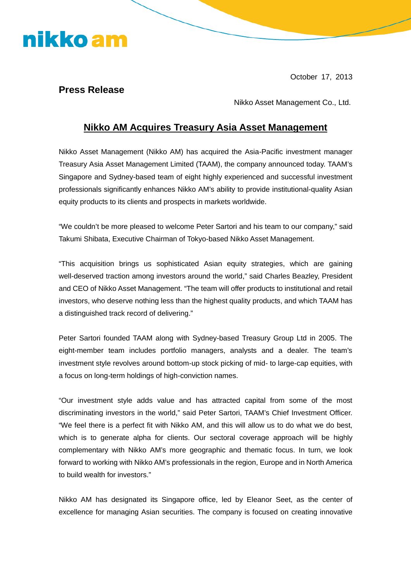### nikko am

October 17, 2013

#### **Press Release**

Nikko Asset Management Co., Ltd.

#### **Nikko AM Acquires Treasury Asia Asset Management**

Nikko Asset Management (Nikko AM) has acquired the Asia-Pacific investment manager Treasury Asia Asset Management Limited (TAAM), the company announced today. TAAM's Singapore and Sydney-based team of eight highly experienced and successful investment professionals significantly enhances Nikko AM's ability to provide institutional-quality Asian equity products to its clients and prospects in markets worldwide.

"We couldn't be more pleased to welcome Peter Sartori and his team to our company," said Takumi Shibata, Executive Chairman of Tokyo-based Nikko Asset Management.

"This acquisition brings us sophisticated Asian equity strategies, which are gaining well-deserved traction among investors around the world," said Charles Beazley, President and CEO of Nikko Asset Management. "The team will offer products to institutional and retail investors, who deserve nothing less than the highest quality products, and which TAAM has a distinguished track record of delivering."

Peter Sartori founded TAAM along with Sydney-based Treasury Group Ltd in 2005. The eight-member team includes portfolio managers, analysts and a dealer. The team's investment style revolves around bottom-up stock picking of mid- to large-cap equities, with a focus on long-term holdings of high-conviction names.

"Our investment style adds value and has attracted capital from some of the most discriminating investors in the world," said Peter Sartori, TAAM's Chief Investment Officer. "We feel there is a perfect fit with Nikko AM, and this will allow us to do what we do best, which is to generate alpha for clients. Our sectoral coverage approach will be highly complementary with Nikko AM's more geographic and thematic focus. In turn, we look forward to working with Nikko AM's professionals in the region, Europe and in North America to build wealth for investors."

Nikko AM has designated its Singapore office, led by Eleanor Seet, as the center of excellence for managing Asian securities. The company is focused on creating innovative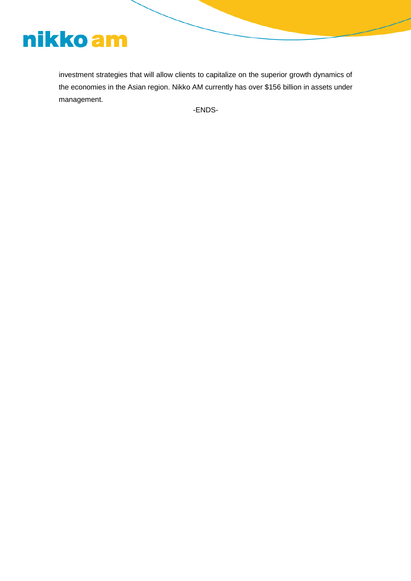# nikko am

investment strategies that will allow clients to capitalize on the superior growth dynamics of the economies in the Asian region. Nikko AM currently has over \$156 billion in assets under management.

-ENDS-